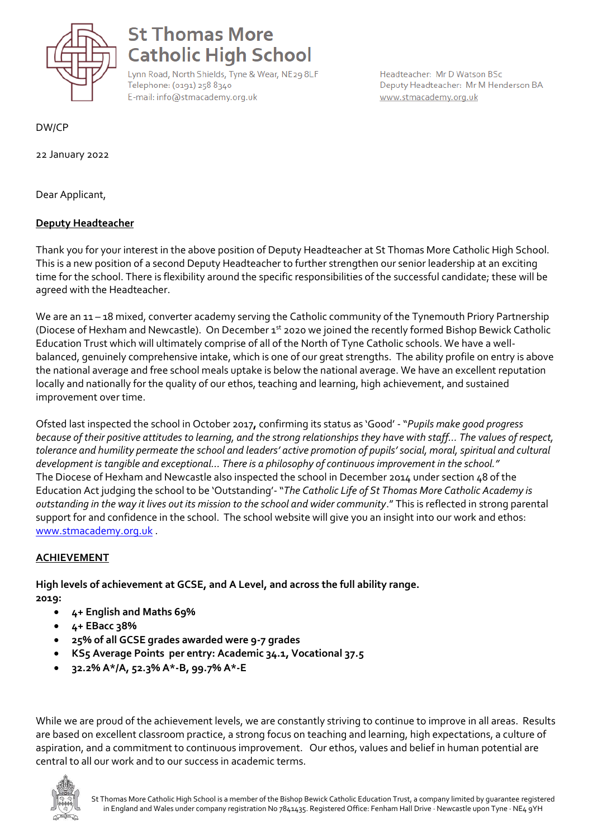

# **St Thomas More Catholic High School**

Lynn Road, North Shields, Tyne & Wear, NE29 8LF Telephone: (0191) 258 8340 E-mail: info@stmacademy.org.uk

Headteacher: Mr D Watson BSc Deputy Headteacher: Mr M Henderson BA www.stmacademy.org.uk

DW/CP

22 January 2022

Dear Applicant,

## **Deputy Headteacher**

Thank you for your interest in the above position of Deputy Headteacher at St Thomas More Catholic High School. This is a new position of a second Deputy Headteacher to further strengthen our senior leadership at an exciting time for the school. There is flexibility around the specific responsibilities of the successful candidate; these will be agreed with the Headteacher.

We are an 11 – 18 mixed, converter academy serving the Catholic community of the Tynemouth Priory Partnership (Diocese of Hexham and Newcastle). On December 1st 2020 we joined the recently formed Bishop Bewick Catholic Education Trust which will ultimately comprise of all of the North of Tyne Catholic schools. We have a wellbalanced, genuinely comprehensive intake, which is one of our great strengths. The ability profile on entry is above the national average and free school meals uptake is below the national average. We have an excellent reputation locally and nationally for the quality of our ethos, teaching and learning, high achievement, and sustained improvement over time.

Ofsted last inspected the school in October 2017**,** confirming its status as 'Good' - "*Pupils make good progress because of their positive attitudes to learning, and the strong relationships they have with staff… The values of respect, tolerance and humility permeate the school and leaders' active promotion of pupils' social, moral, spiritual and cultural development is tangible and exceptional… There is a philosophy of continuous improvement in the school."* The Diocese of Hexham and Newcastle also inspected the school in December 2014 under section 48 of the Education Act judging the school to be 'Outstanding'-"*The Catholic Life of St Thomas More Catholic Academy is outstanding in the way it lives out its mission to the school and wider community*." This is reflected in strong parental support for and confidence in the school. The school website will give you an insight into our work and ethos: [www.stmacademy.org.uk](http://www.stmacademy.org.uk/) .

## **ACHIEVEMENT**

**High levels of achievement at GCSE, and A Level, and across the full ability range. 2019:**

- **4+ English and Maths 69%**
- **4+ EBacc 38%**
- **25% of all GCSE grades awarded were 9-7 grades**
- **KS5 Average Points per entry: Academic 34.1, Vocational 37.5**
- **32.2% A\*/A, 52.3% A\*-B, 99.7% A\*-E**

While we are proud of the achievement levels, we are constantly striving to continue to improve in all areas. Results are based on excellent classroom practice, a strong focus on teaching and learning, high expectations, a culture of aspiration, and a commitment to continuous improvement. Our ethos, values and belief in human potential are central to all our work and to our success in academic terms.